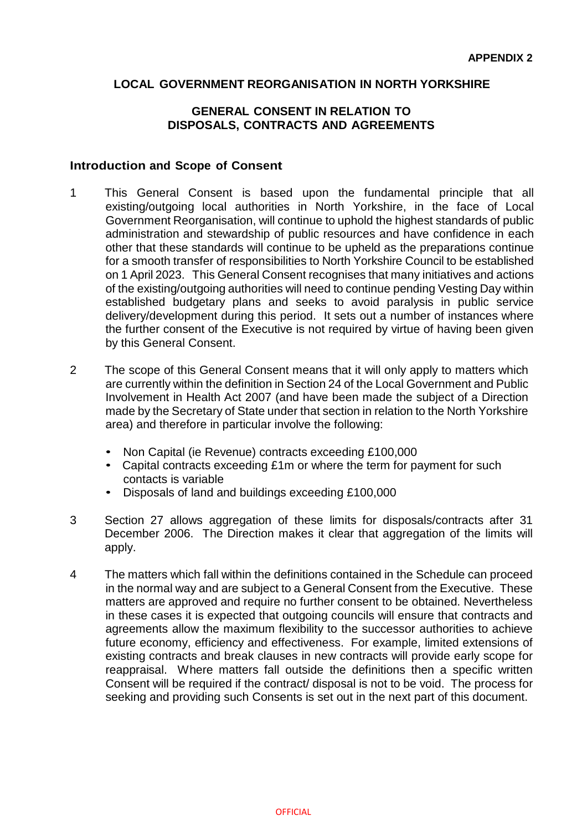### **LOCAL GOVERNMENT REORGANISATION IN NORTH YORKSHIRE**

#### **GENERAL CONSENT IN RELATION TO DISPOSALS, CONTRACTS AND AGREEMENTS**

#### **Introduction and Scope of Consent**

- 1 This General Consent is based upon the fundamental principle that all existing/outgoing local authorities in North Yorkshire, in the face of Local Government Reorganisation, will continue to uphold the highest standards of public administration and stewardship of public resources and have confidence in each other that these standards will continue to be upheld as the preparations continue for a smooth transfer of responsibilities to North Yorkshire Council to be established on 1 April 2023. This General Consent recognises that many initiatives and actions of the existing/outgoing authorities will need to continue pending Vesting Day within established budgetary plans and seeks to avoid paralysis in public service delivery/development during this period. It sets out a number of instances where the further consent of the Executive is not required by virtue of having been given by this General Consent.
- 2 The scope of this General Consent means that it will only apply to matters which are currently within the definition in Section 24 of the Local Government and Public Involvement in Health Act 2007 (and have been made the subject of a Direction made by the Secretary of State under that section in relation to the North Yorkshire area) and therefore in particular involve the following:
	- Non Capital (ie Revenue) contracts exceeding £100,000
	- Capital contracts exceeding £1m or where the term for payment for such contacts is variable
	- Disposals of land and buildings exceeding £100,000
- 3 Section 27 allows aggregation of these limits for disposals/contracts after 31 December 2006. The Direction makes it clear that aggregation of the limits will apply.
- 4 The matters which fall within the definitions contained in the Schedule can proceed in the normal way and are subject to a General Consent from the Executive. These matters are approved and require no further consent to be obtained. Nevertheless in these cases it is expected that outgoing councils will ensure that contracts and agreements allow the maximum flexibility to the successor authorities to achieve future economy, efficiency and effectiveness. For example, limited extensions of existing contracts and break clauses in new contracts will provide early scope for reappraisal. Where matters fall outside the definitions then a specific written Consent will be required if the contract/ disposal is not to be void. The process for seeking and providing such Consents is set out in the next part of this document.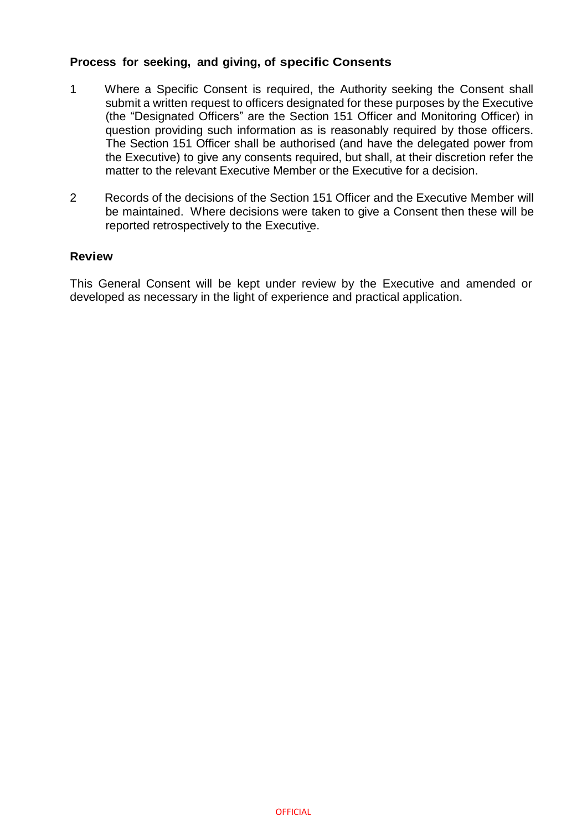# **Process for seeking, and giving, of specific Consents**

- 1 Where a Specific Consent is required, the Authority seeking the Consent shall submit a written request to officers designated for these purposes by the Executive (the "Designated Officers" are the Section 151 Officer and Monitoring Officer) in question providing such information as is reasonably required by those officers. The Section 151 Officer shall be authorised (and have the delegated power from the Executive) to give any consents required, but shall, at their discretion refer the matter to the relevant Executive Member or the Executive for a decision.
- 2 Records of the decisions of the Section 151 Officer and the Executive Member will be maintained. Where decisions were taken to give a Consent then these will be reported retrospectively to the Executive.

#### **Review**

This General Consent will be kept under review by the Executive and amended or developed as necessary in the light of experience and practical application.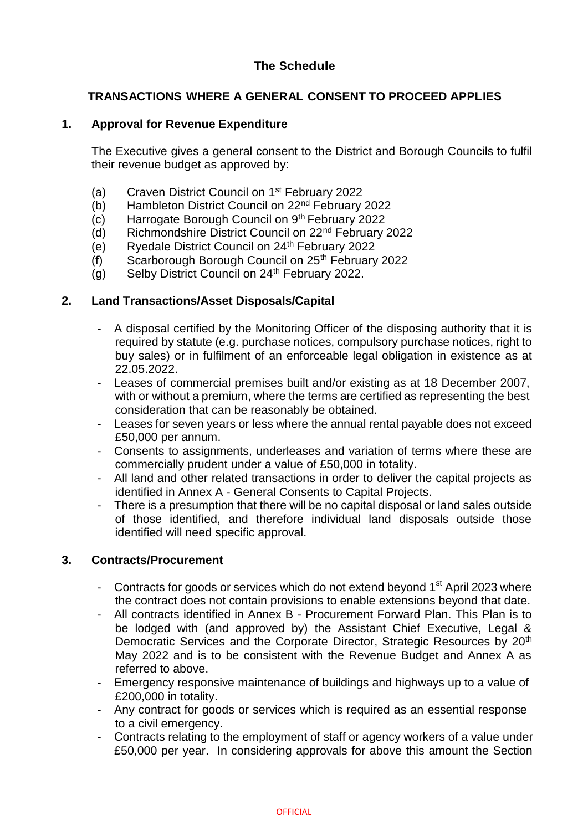# **The Schedule**

# **TRANSACTIONS WHERE A GENERAL CONSENT TO PROCEED APPLIES**

### **1. Approval for Revenue Expenditure**

The Executive gives a general consent to the District and Borough Councils to fulfil their revenue budget as approved by:

- (a) Craven District Council on 1<sup>st</sup> February 2022
- (b) Hambleton District Council on 22nd February 2022
- $(c)$  Harrogate Borough Council on  $9<sup>th</sup>$  February 2022
- (d) Richmondshire District Council on 22nd February 2022
- $\overrightarrow{e}$  Ryedale District Council on 24<sup>th</sup> February 2022
- (f) Scarborough Borough Council on  $25<sup>th</sup>$  February 2022
- (g) Selby District Council on 24<sup>th</sup> February 2022.

#### **2. Land Transactions/Asset Disposals/Capital**

- A disposal certified by the Monitoring Officer of the disposing authority that it is required by statute (e.g. purchase notices, compulsory purchase notices, right to buy sales) or in fulfilment of an enforceable legal obligation in existence as at 22.05.2022.
- Leases of commercial premises built and/or existing as at 18 December 2007, with or without a premium, where the terms are certified as representing the best consideration that can be reasonably be obtained.
- Leases for seven years or less where the annual rental payable does not exceed £50,000 per annum.
- Consents to assignments, underleases and variation of terms where these are commercially prudent under a value of £50,000 in totality.
- All land and other related transactions in order to deliver the capital projects as identified in Annex A - General Consents to Capital Projects.
- There is a presumption that there will be no capital disposal or land sales outside of those identified, and therefore individual land disposals outside those identified will need specific approval.

#### **3. Contracts/Procurement**

- Contracts for goods or services which do not extend beyond 1<sup>st</sup> April 2023 where the contract does not contain provisions to enable extensions beyond that date.
- All contracts identified in Annex B Procurement Forward Plan. This Plan is to be lodged with (and approved by) the Assistant Chief Executive, Legal & Democratic Services and the Corporate Director, Strategic Resources by 20<sup>th</sup> May 2022 and is to be consistent with the Revenue Budget and Annex A as referred to above.
- Emergency responsive maintenance of buildings and highways up to a value of £200,000 in totality.
- Any contract for goods or services which is required as an essential response to a civil emergency.
- Contracts relating to the employment of staff or agency workers of a value under £50,000 per year. In considering approvals for above this amount the Section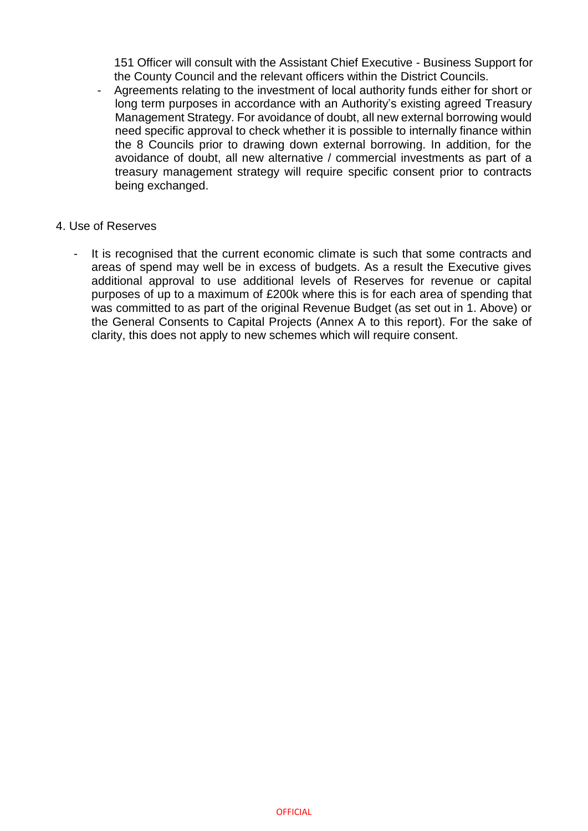151 Officer will consult with the Assistant Chief Executive - Business Support for the County Council and the relevant officers within the District Councils.

- Agreements relating to the investment of local authority funds either for short or long term purposes in accordance with an Authority's existing agreed Treasury Management Strategy. For avoidance of doubt, all new external borrowing would need specific approval to check whether it is possible to internally finance within the 8 Councils prior to drawing down external borrowing. In addition, for the avoidance of doubt, all new alternative / commercial investments as part of a treasury management strategy will require specific consent prior to contracts being exchanged.

#### 4. Use of Reserves

It is recognised that the current economic climate is such that some contracts and areas of spend may well be in excess of budgets. As a result the Executive gives additional approval to use additional levels of Reserves for revenue or capital purposes of up to a maximum of £200k where this is for each area of spending that was committed to as part of the original Revenue Budget (as set out in 1. Above) or the General Consents to Capital Projects (Annex A to this report). For the sake of clarity, this does not apply to new schemes which will require consent.